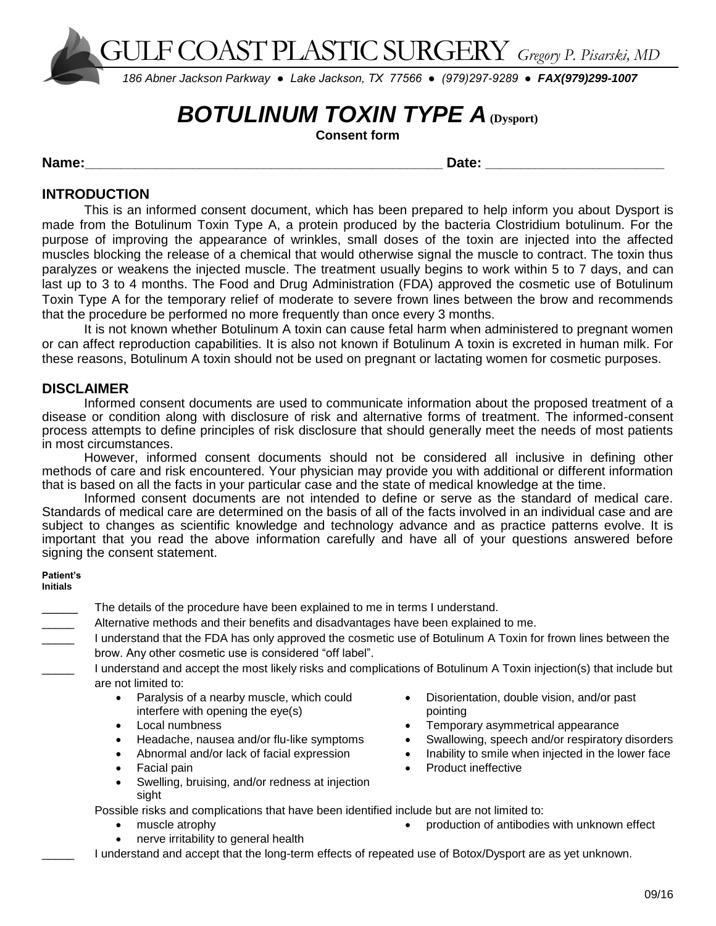GULF COAST PLASTIC SURGERY *Gregory P. Pisarski, MD*

*186 Abner Jackson Parkway ● Lake Jackson, TX 77566 ● (979)297-9289 ● FAX(979)299-1007* 

# **BOTULINUM TOXIN TYPE A** (Dysport)

**Consent form**

**Name:\_\_\_\_\_\_\_\_\_\_\_\_\_\_\_\_\_\_\_\_\_\_\_\_\_\_\_\_\_\_\_\_\_\_\_\_\_\_\_\_\_\_\_\_\_\_\_\_\_\_ Date: \_\_\_\_\_\_\_\_\_\_\_\_\_\_\_\_\_\_\_\_\_\_\_\_\_**

## **INTRODUCTION**

This is an informed consent document, which has been prepared to help inform you about Dysport is made from the Botulinum Toxin Type A, a protein produced by the bacteria Clostridium botulinum. For the purpose of improving the appearance of wrinkles, small doses of the toxin are injected into the affected muscles blocking the release of a chemical that would otherwise signal the muscle to contract. The toxin thus paralyzes or weakens the injected muscle. The treatment usually begins to work within 5 to 7 days, and can last up to 3 to 4 months. The Food and Drug Administration (FDA) approved the cosmetic use of Botulinum Toxin Type A for the temporary relief of moderate to severe frown lines between the brow and recommends that the procedure be performed no more frequently than once every 3 months.

It is not known whether Botulinum A toxin can cause fetal harm when administered to pregnant women or can affect reproduction capabilities. It is also not known if Botulinum A toxin is excreted in human milk. For these reasons, Botulinum A toxin should not be used on pregnant or lactating women for cosmetic purposes.

## **DISCLAIMER**

Informed consent documents are used to communicate information about the proposed treatment of a disease or condition along with disclosure of risk and alternative forms of treatment. The informed-consent process attempts to define principles of risk disclosure that should generally meet the needs of most patients in most circumstances.

However, informed consent documents should not be considered all inclusive in defining other methods of care and risk encountered. Your physician may provide you with additional or different information that is based on all the facts in your particular case and the state of medical knowledge at the time.

Informed consent documents are not intended to define or serve as the standard of medical care. Standards of medical care are determined on the basis of all of the facts involved in an individual case and are subject to changes as scientific knowledge and technology advance and as practice patterns evolve. It is important that you read the above information carefully and have all of your questions answered before signing the consent statement.

#### **Patient's Initials**

- The details of the procedure have been explained to me in terms I understand.
- Alternative methods and their benefits and disadvantages have been explained to me.
- I understand that the FDA has only approved the cosmetic use of Botulinum A Toxin for frown lines between the brow. Any other cosmetic use is considered "off label".
	- I understand and accept the most likely risks and complications of Botulinum A Toxin injection(s) that include but are not limited to:
		- Paralysis of a nearby muscle, which could interfere with opening the eye(s)
		- Local numbness
		- Headache, nausea and/or flu-like symptoms
		- Abnormal and/or lack of facial expression
		- Facial pain
		- Swelling, bruising, and/or redness at injection sight

Possible risks and complications that have been identified include but are not limited to:

- muscle atrophy
- nerve irritability to general health
- Disorientation, double vision, and/or past pointing
- Temporary asymmetrical appearance
- Swallowing, speech and/or respiratory disorders
- Inability to smile when injected in the lower face
- Product ineffective
- production of antibodies with unknown effect

I understand and accept that the long-term effects of repeated use of Botox/Dysport are as yet unknown.